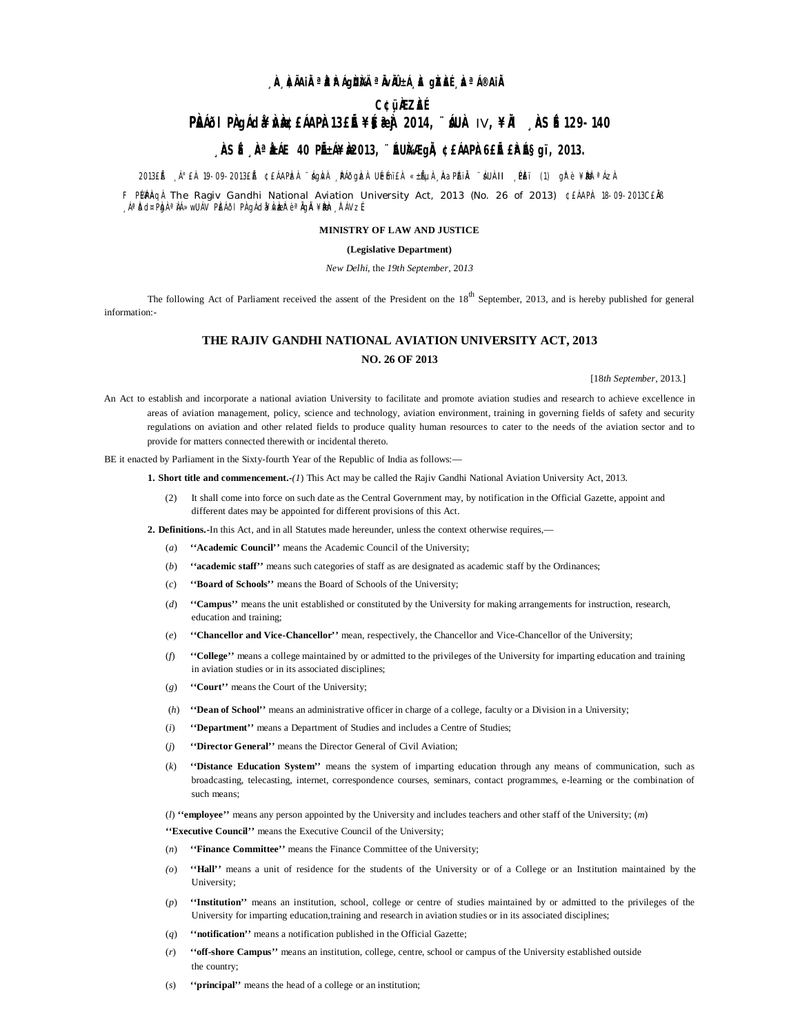# **¸ÀA¸À¢ÃAiÀÄ ªÀåªÀºÁgÀUÀ¼Ä ªÀÄvÀÄÛ ±Á¸À£ gÀZÀ£É ¸ÀaªÁ®AiÀÄ**

## **C¢ü¸ÀÆZÀ£É**

# **PÀI**&I PÀGIÁd&¥ÀNÀDÀ 13£Ě¥§&}À 2014, ¨&UÀ IV, ¥À ¸ÀSÉ 129-140

# **, ÀSÉ À<sup>a</sup> ÀÁE 40 PIEÁ¥À2013, ¨ÉUÀÆgIÀ ¢£ÁAPÀ6£IÉ £ÀESgï, 2013.**

2013£ĚÀ ∫°£À 19-09-2013£ĚÀ ¢£ÁAPÀzÀ ¨ágÀ∧À ¸ÞÁðg ÀzÀ UÉmï£À «±ĚµÀ "ÀAaPÁIĂ ¨áU∔II ¸PÈï (1) gÀ°è ¥ÀbèªÁzÀ

F PlaPAqì The Ragiv Gandhi National Aviation University Act, 2013 (No. 26 of 2013) ¢£ÁAPÀ: 18-09-2013C£ MB <sub>→</sub>Áªbd¤PÀg <sup>a</sup> ÀÁ≫wUÁV PÈÁðI PÀ gÁdà¥ÅvÀæð° è ªÅGÅ ¥ÀæÞ À ĀVzÉ

### **MINISTRY OF LAW AND JUSTICE**

## **(Legislative Department)**

#### *New Delhi,* the *19th September,* 20*13*

The following Act of Parliament received the assent of the President on the  $18<sup>th</sup>$  September, 2013, and is hereby published for general information:-

### **THE RAJIV GANDHI NATIONAL AVIATION UNIVERSITY ACT, 2013**

## **NO. 26 OF 2013**

[18*th September*, 2013*.*]

An Act to establish and incorporate a national aviation University to facilitate and promote aviation studies and research to achieve excellence in areas of aviation management, policy, science and technology, aviation environment, training in governing fields of safety and security regulations on aviation and other related fields to produce quality human resources to cater to the needs of the aviation sector and to provide for matters connected therewith or incidental thereto.

BE it enacted by Parliament in the Sixty-fourth Year of the Republic of India as follows:—

**1. Short title and commencement.-***(1*) This Act may be called the Rajiv Gandhi National Aviation University Act, 2013.

(2) It shall come into force on such date as the Central Government may, by notification in the Official Gazette, appoint and different dates may be appointed for different provisions of this Act.

**2. Definitions.-**In this Act, and in all Statutes made hereunder, unless the context otherwise requires,—

- (*a*) **''Academic Council''** means the Academic Council of the University;
- (*b*) **''academic staff''** means such categories of staff as are designated as academic staff by the Ordinances;
- (*c*) **''Board of Schools''** means the Board of Schools of the University;
- (*d*) **''Campus''** means the unit established or constituted by the University for making arrangements for instruction, research, education and training;
- (*e*) **''Chancellor and Vice-Chancellor''** mean, respectively, the Chancellor and Vice-Chancellor of the University;
- (*f*) **''College''** means a college maintained by or admitted to the privileges of the University for imparting education and training in aviation studies or in its associated disciplines;
- (*g*) **''Court''** means the Court of the University;
- (*h*) **''Dean of School''** means an administrative officer in charge of a college, faculty or a Division in a University;
- (*i*) **''Department''** means a Department of Studies and includes a Centre of Studies;
- (*j*) **''Director General''** means the Director General of Civil Aviation;
- (*k*) **''Distance Education System''** means the system of imparting education through any means of communication, such as broadcasting, telecasting, internet, correspondence courses, seminars, contact programmes, e-learning or the combination of such means;

(*l*) **''employee''** means any person appointed by the University and includes teachers and other staff of the University; (*m*)

**''Executive Council''** means the Executive Council of the University;

- (*n*) **''Finance Committee''** means the Finance Committee of the University;
- *(o*) **''Hall''** means a unit of residence for the students of the University or of a College or an Institution maintained by the University;
- (*p*) **''Institution''** means an institution, school, college or centre of studies maintained by or admitted to the privileges of the University for imparting education,training and research in aviation studies or in its associated disciplines;
- (*q*) **''notification''** means a notification published in the Official Gazette;
- (*r*) **''off-shore Campus''** means an institution, college, centre, school or campus of the University established outside the country;
- (*s*) **''principal''** means the head of a college or an institution;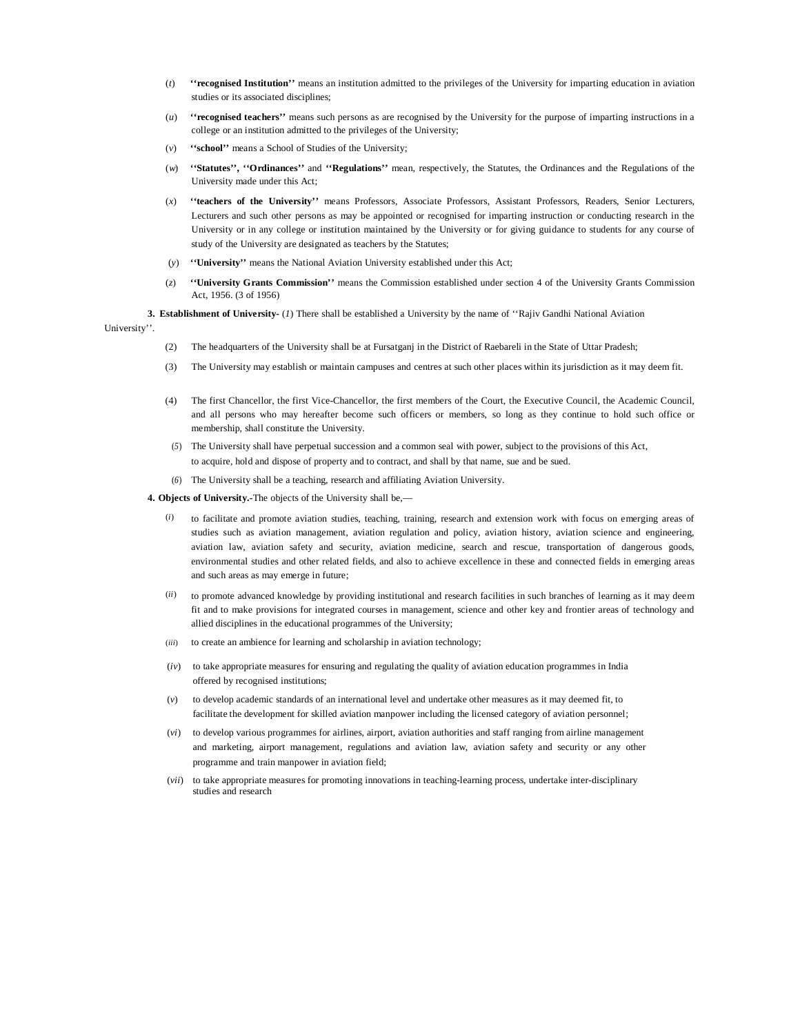- (*t*) **''recognised Institution''** means an institution admitted to the privileges of the University for imparting education in aviation studies or its associated disciplines;
- (*u*) **''recognised teachers''** means such persons as are recognised by the University for the purpose of imparting instructions in a college or an institution admitted to the privileges of the University;
- (*v*) **''school''** means a School of Studies of the University;
- (*w*) **''Statutes'', ''Ordinances''** and **''Regulations''** mean, respectively, the Statutes, the Ordinances and the Regulations of the University made under this Act;
- (*x*) **''teachers of the University''** means Professors, Associate Professors, Assistant Professors, Readers, Senior Lecturers, Lecturers and such other persons as may be appointed or recognised for imparting instruction or conducting research in the University or in any college or institution maintained by the University or for giving guidance to students for any course of study of the University are designated as teachers by the Statutes;
- (*y*) **''University''** means the National Aviation University established under this Act;
- (*z*) **''University Grants Commission''** means the Commission established under section 4 of the University Grants Commission Act, 1956. (3 of 1956)
- **3. Establishment of University-** (*1*) There shall be established a University by the name of ''Rajiv Gandhi National Aviation

University''.

- (2) The headquarters of the University shall be at Fursatganj in the District of Raebareli in the State of Uttar Pradesh;
- (3) The University may establish or maintain campuses and centres at such other places within its jurisdiction as it may deem fit.
- (4) The first Chancellor, the first Vice-Chancellor, the first members of the Court, the Executive Council, the Academic Council, and all persons who may hereafter become such officers or members, so long as they continue to hold such office or membership, shall constitute the University.
- (*5*) The University shall have perpetual succession and a common seal with power, subject to the provisions of this Act, to acquire, hold and dispose of property and to contract, and shall by that name, sue and be sued.
- (*6*) The University shall be a teaching, research and affiliating Aviation University.

**4. Objects of University.-**The objects of the University shall be,—

- (*i*) to facilitate and promote aviation studies, teaching, training, research and extension work with focus on emerging areas of studies such as aviation management, aviation regulation and policy, aviation history, aviation science and engineering, aviation law, aviation safety and security, aviation medicine, search and rescue, transportation of dangerous goods, environmental studies and other related fields, and also to achieve excellence in these and connected fields in emerging areas and such areas as may emerge in future;
- (*ii*) to promote advanced knowledge by providing institutional and research facilities in such branches of learning as it may deem fit and to make provisions for integrated courses in management, science and other key and frontier areas of technology and allied disciplines in the educational programmes of the University;
- (*iii*) to create an ambience for learning and scholarship in aviation technology;
- (*iv*) to take appropriate measures for ensuring and regulating the quality of aviation education programmes in India offered by recognised institutions;
- (*v*) to develop academic standards of an international level and undertake other measures as it may deemed fit, to facilitate the development for skilled aviation manpower including the licensed category of aviation personnel;
- (*vi*) to develop various programmes for airlines, airport, aviation authorities and staff ranging from airline management and marketing, airport management, regulations and aviation law, aviation safety and security or any other programme and train manpower in aviation field;
- (*vii*) to take appropriate measures for promoting innovations in teaching-learning process, undertake inter-disciplinary studies and research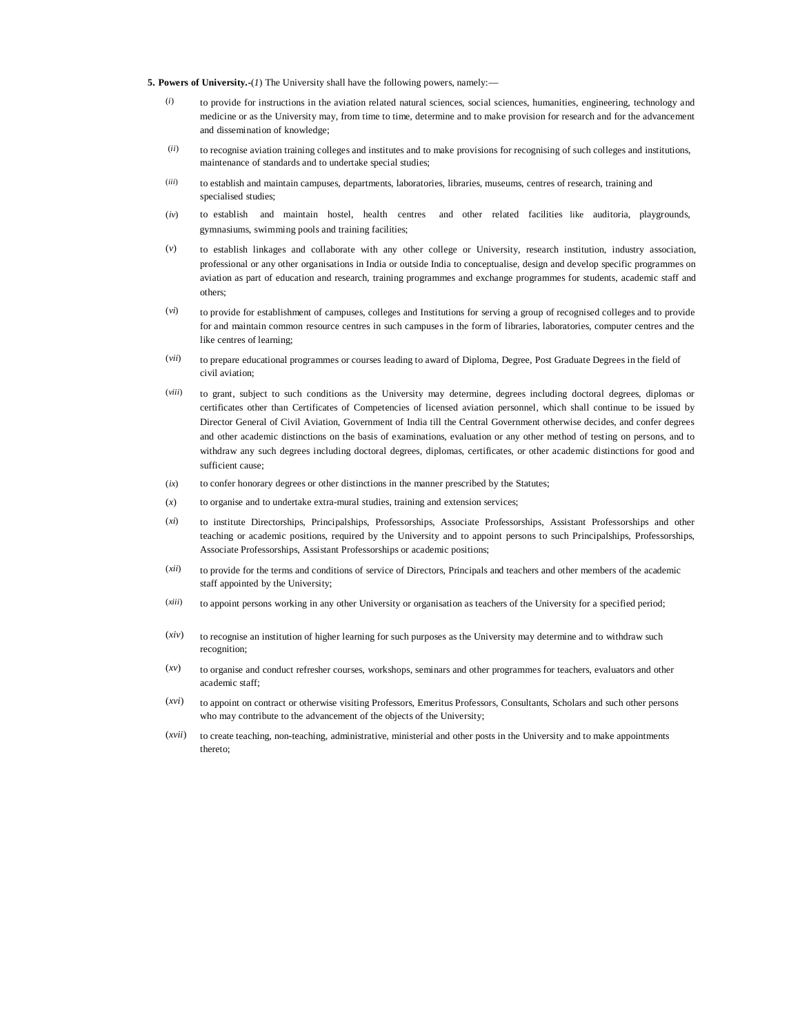**5. Powers of University.-**(*1*) The University shall have the following powers, namely:—

- (*i*) to provide for instructions in the aviation related natural sciences, social sciences, humanities, engineering, technology and medicine or as the University may, from time to time, determine and to make provision for research and for the advancement and dissemination of knowledge;
- (*ii*) to recognise aviation training colleges and institutes and to make provisions for recognising of such colleges and institutions, maintenance of standards and to undertake special studies;
- (*iii*) to establish and maintain campuses, departments, laboratories, libraries, museums, centres of research, training and specialised studies;
- (*iv*) to establish and maintain hostel, health centres and other related facilities like auditoria, playgrounds, gymnasiums, swimming pools and training facilities;
- (*v*) to establish linkages and collaborate with any other college or University, research institution, industry association, professional or any other organisations in India or outside India to conceptualise, design and develop specific programmes on aviation as part of education and research, training programmes and exchange programmes for students, academic staff and others;
- (*vi*) to provide for establishment of campuses, colleges and Institutions for serving a group of recognised colleges and to provide for and maintain common resource centres in such campuses in the form of libraries, laboratories, computer centres and the like centres of learning;
- (*vii*) to prepare educational programmes or courses leading to award of Diploma, Degree, Post Graduate Degrees in the field of civil aviation;
- (*viii*) to grant, subject to such conditions as the University may determine, degrees including doctoral degrees, diplomas or certificates other than Certificates of Competencies of licensed aviation personnel, which shall continue to be issued by Director General of Civil Aviation, Government of India till the Central Government otherwise decides, and confer degrees and other academic distinctions on the basis of examinations, evaluation or any other method of testing on persons, and to withdraw any such degrees including doctoral degrees, diplomas, certificates, or other academic distinctions for good and sufficient cause;
- (*ix*) to confer honorary degrees or other distinctions in the manner prescribed by the Statutes;
- (*x*) to organise and to undertake extra-mural studies, training and extension services;
- (*xi*) to institute Directorships, Principalships, Professorships, Associate Professorships, Assistant Professorships and other teaching or academic positions, required by the University and to appoint persons to such Principalships, Professorships, Associate Professorships, Assistant Professorships or academic positions;
- (*xii*) to provide for the terms and conditions of service of Directors, Principals and teachers and other members of the academic staff appointed by the University;
- (*xiii*) to appoint persons working in any other University or organisation as teachers of the University for a specified period;
- (*xiv*) to recognise an institution of higher learning for such purposes as the University may determine and to withdraw such recognition;
- (*xv*) to organise and conduct refresher courses, workshops, seminars and other programmes for teachers, evaluators and other academic staff;
- (*xvi*) to appoint on contract or otherwise visiting Professors, Emeritus Professors, Consultants, Scholars and such other persons who may contribute to the advancement of the objects of the University;
- (*xvii*) to create teaching, non-teaching, administrative, ministerial and other posts in the University and to make appointments thereto;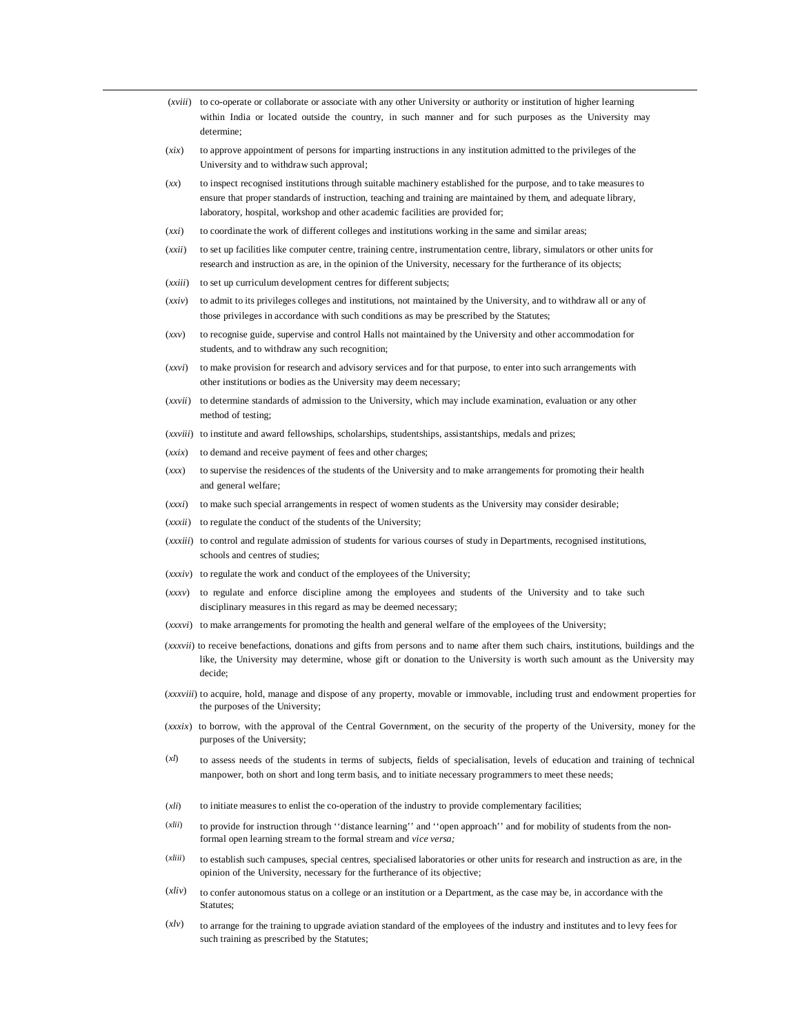- (*xviii*) to co-operate or collaborate or associate with any other University or authority or institution of higher learning within India or located outside the country, in such manner and for such purposes as the University may determine;
- (*xix*) to approve appointment of persons for imparting instructions in any institution admitted to the privileges of the University and to withdraw such approval;
- (*xx*) to inspect recognised institutions through suitable machinery established for the purpose, and to take measures to ensure that proper standards of instruction, teaching and training are maintained by them, and adequate library, laboratory, hospital, workshop and other academic facilities are provided for;
- (*xxi*) to coordinate the work of different colleges and institutions working in the same and similar areas;
- (*xxii*) to set up facilities like computer centre, training centre, instrumentation centre, library, simulators or other units for research and instruction as are, in the opinion of the University, necessary for the furtherance of its objects;
- (*xxiii*) to set up curriculum development centres for different subjects;
- (*xxiv*) to admit to its privileges colleges and institutions, not maintained by the University, and to withdraw all or any of those privileges in accordance with such conditions as may be prescribed by the Statutes;
- (*xxv*) to recognise guide, supervise and control Halls not maintained by the University and other accommodation for students, and to withdraw any such recognition;
- (*xxvi*) to make provision for research and advisory services and for that purpose, to enter into such arrangements with other institutions or bodies as the University may deem necessary;
- (*xxvii*) to determine standards of admission to the University, which may include examination, evaluation or any other method of testing;
- (*xxviii*) to institute and award fellowships, scholarships, studentships, assistantships, medals and prizes;
- (*xxix*) to demand and receive payment of fees and other charges;
- (*xxx*) to supervise the residences of the students of the University and to make arrangements for promoting their health and general welfare;
- (*xxxi*) to make such special arrangements in respect of women students as the University may consider desirable;
- (*xxxii*) to regulate the conduct of the students of the University;
- (*xxxiii*) to control and regulate admission of students for various courses of study in Departments, recognised institutions, schools and centres of studies;
- (*xxxiv*) to regulate the work and conduct of the employees of the University;
- (*xxxv*) to regulate and enforce discipline among the employees and students of the University and to take such disciplinary measures in this regard as may be deemed necessary;
- (*xxxvi*) to make arrangements for promoting the health and general welfare of the employees of the University;
- (*xxxvii*) to receive benefactions, donations and gifts from persons and to name after them such chairs, institutions, buildings and the like, the University may determine, whose gift or donation to the University is worth such amount as the University may decide;
- (*xxxviii*) to acquire, hold, manage and dispose of any property, movable or immovable, including trust and endowment properties for the purposes of the University;
- (*xxxix*) to borrow, with the approval of the Central Government, on the security of the property of the University, money for the purposes of the University;
- (*xl*) to assess needs of the students in terms of subjects, fields of specialisation, levels of education and training of technical manpower, both on short and long term basis, and to initiate necessary programmers to meet these needs;
- (*xli*) to initiate measures to enlist the co-operation of the industry to provide complementary facilities;
- (*xlii*) to provide for instruction through ''distance learning'' and ''open approach'' and for mobility of students from the nonformal open learning stream to the formal stream and *vice versa;*
- (*xliii*) to establish such campuses, special centres, specialised laboratories or other units for research and instruction as are, in the opinion of the University, necessary for the furtherance of its objective;
- $(xdiv)$  to confer autonomous status on a college or an institution or a Department, as the case may be, in accordance with the Statutes;
- $(x<sup>l</sup>y)$  to arrange for the training to upgrade aviation standard of the employees of the industry and institutes and to levy fees for such training as prescribed by the Statutes;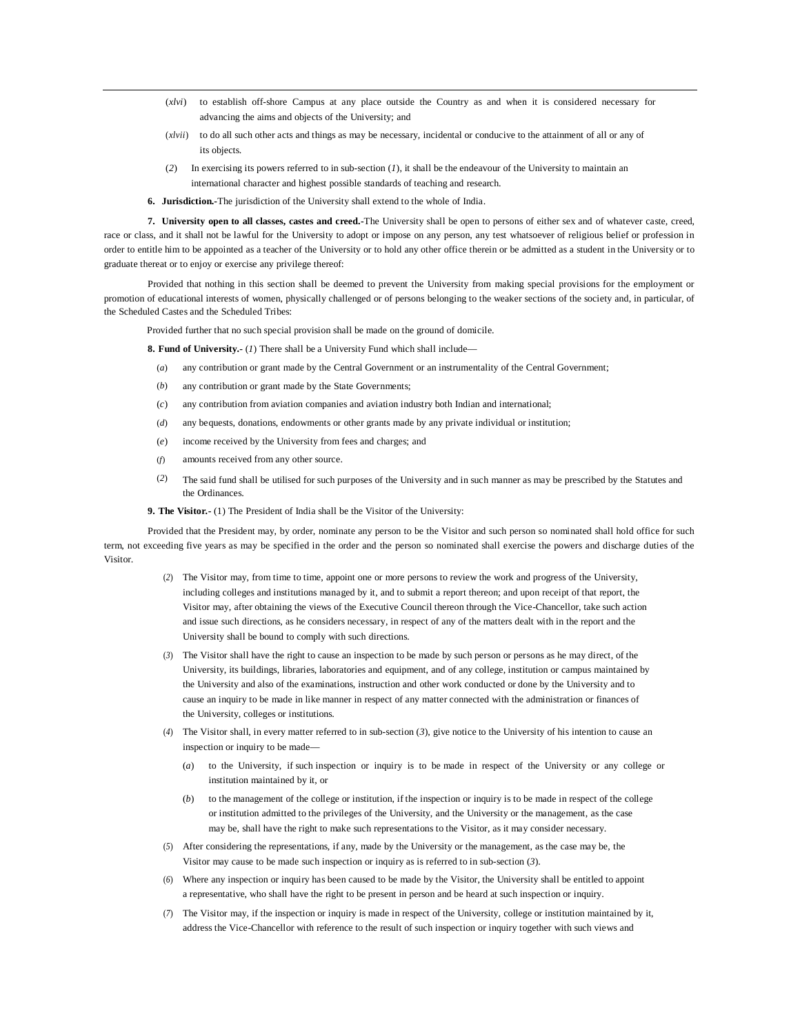- (*xlvi*) to establish off-shore Campus at any place outside the Country as and when it is considered necessary for advancing the aims and objects of the University; and
- (*xlvii*) to do all such other acts and things as may be necessary, incidental or conducive to the attainment of all or any of its objects.
- (*2*) In exercising its powers referred to in sub-section (*1*), it shall be the endeavour of the University to maintain an international character and highest possible standards of teaching and research.
- **6. Jurisdiction.-**The jurisdiction of the University shall extend to the whole of India.

**7. University open to all classes, castes and creed.-**The University shall be open to persons of either sex and of whatever caste, creed, race or class, and it shall not be lawful for the University to adopt or impose on any person, any test whatsoever of religious belief or profession in order to entitle him to be appointed as a teacher of the University or to hold any other office therein or be admitted as a student in the University or to graduate thereat or to enjoy or exercise any privilege thereof:

Provided that nothing in this section shall be deemed to prevent the University from making special provisions for the employment or promotion of educational interests of women, physically challenged or of persons belonging to the weaker sections of the society and, in particular, of the Scheduled Castes and the Scheduled Tribes:

Provided further that no such special provision shall be made on the ground of domicile.

**8. Fund of University.-** (*1*) There shall be a University Fund which shall include—

- (*a*) any contribution or grant made by the Central Government or an instrumentality of the Central Government;
- (*b*) any contribution or grant made by the State Governments;
- (*c*) any contribution from aviation companies and aviation industry both Indian and international;
- (*d*) any bequests, donations, endowments or other grants made by any private individual or institution;
- (*e*) income received by the University from fees and charges; and
- (*f*) amounts received from any other source.
- (*2*) The said fund shall be utilised for such purposes of the University and in such manner as may be prescribed by the Statutes and the Ordinances.

**9. The Visitor.-** (1) The President of India shall be the Visitor of the University:

Provided that the President may, by order, nominate any person to be the Visitor and such person so nominated shall hold office for such term, not exceeding five years as may be specified in the order and the person so nominated shall exercise the powers and discharge duties of the Visitor.

- (*2*) The Visitor may, from time to time, appoint one or more persons to review the work and progress of the University, including colleges and institutions managed by it, and to submit a report thereon; and upon receipt of that report, the Visitor may, after obtaining the views of the Executive Council thereon through the Vice-Chancellor, take such action and issue such directions, as he considers necessary, in respect of any of the matters dealt with in the report and the University shall be bound to comply with such directions.
- (*3*) The Visitor shall have the right to cause an inspection to be made by such person or persons as he may direct, of the University, its buildings, libraries, laboratories and equipment, and of any college, institution or campus maintained by the University and also of the examinations, instruction and other work conducted or done by the University and to cause an inquiry to be made in like manner in respect of any matter connected with the administration or finances of the University, colleges or institutions.
- (*4*) The Visitor shall, in every matter referred to in sub-section (*3*), give notice to the University of his intention to cause an inspection or inquiry to be made—
	- (*a*) to the University, if such inspection or inquiry is to be made in respect of the University or any college or institution maintained by it, or
	- (*b*) to the management of the college or institution, if the inspection or inquiry is to be made in respect of the college or institution admitted to the privileges of the University, and the University or the management, as the case may be, shall have the right to make such representations to the Visitor, as it may consider necessary.
- (*5*) After considering the representations, if any, made by the University or the management, as the case may be, the Visitor may cause to be made such inspection or inquiry as is referred to in sub-section (*3*).
- (*6*) Where any inspection or inquiry has been caused to be made by the Visitor, the University shall be entitled to appoint a representative, who shall have the right to be present in person and be heard at such inspection or inquiry.
- (*7*) The Visitor may, if the inspection or inquiry is made in respect of the University, college or institution maintained by it, address the Vice-Chancellor with reference to the result of such inspection or inquiry together with such views and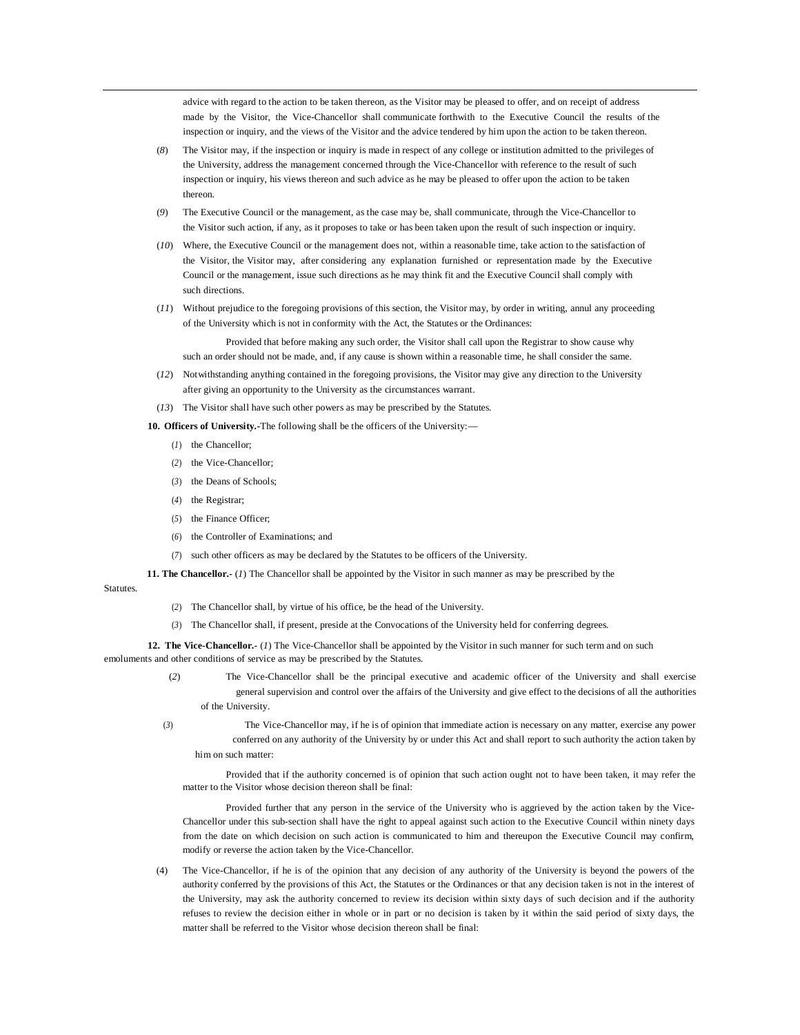advice with regard to the action to be taken thereon, as the Visitor may be pleased to offer, and on receipt of address made by the Visitor, the Vice-Chancellor shall communicate forthwith to the Executive Council the results of the inspection or inquiry, and the views of the Visitor and the advice tendered by him upon the action to be taken thereon.

- (*8*) The Visitor may, if the inspection or inquiry is made in respect of any college or institution admitted to the privileges of the University, address the management concerned through the Vice-Chancellor with reference to the result of such inspection or inquiry, his views thereon and such advice as he may be pleased to offer upon the action to be taken thereon.
- (*9*) The Executive Council or the management, as the case may be, shall communicate, through the Vice-Chancellor to the Visitor such action, if any, as it proposes to take or has been taken upon the result of such inspection or inquiry.
- (*10*) Where, the Executive Council or the management does not, within a reasonable time, take action to the satisfaction of the Visitor, the Visitor may, after considering any explanation furnished or representation made by the Executive Council or the management, issue such directions as he may think fit and the Executive Council shall comply with such directions.
- (*11*) Without prejudice to the foregoing provisions of this section, the Visitor may, by order in writing, annul any proceeding of the University which is not in conformity with the Act, the Statutes or the Ordinances:

Provided that before making any such order, the Visitor shall call upon the Registrar to show cause why such an order should not be made, and, if any cause is shown within a reasonable time, he shall consider the same.

(*12*) Notwithstanding anything contained in the foregoing provisions, the Visitor may give any direction to the University after giving an opportunity to the University as the circumstances warrant.

(*13*) The Visitor shall have such other powers as may be prescribed by the Statutes.

- **10. Officers of University.-**The following shall be the officers of the University:—
	- (*1*) the Chancellor;
	- (*2*) the Vice-Chancellor;
	- (*3*) the Deans of Schools;
	- (*4*) the Registrar;
	- (*5*) the Finance Officer;
	- (*6*) the Controller of Examinations; and
	- (*7*) such other officers as may be declared by the Statutes to be officers of the University.

**11. The Chancellor.-** (*1*) The Chancellor shall be appointed by the Visitor in such manner as may be prescribed by the

**Statutes** 

- (*2*) The Chancellor shall, by virtue of his office, be the head of the University.
- (*3*) The Chancellor shall, if present, preside at the Convocations of the University held for conferring degrees.

**12. The Vice-Chancellor.-** (*1*) The Vice-Chancellor shall be appointed by the Visitor in such manner for such term and on such emoluments and other conditions of service as may be prescribed by the Statutes.

> (*2*) The Vice-Chancellor shall be the principal executive and academic officer of the University and shall exercise general supervision and control over the affairs of the University and give effect to the decisions of all the authorities of the University.

(*3*) The Vice-Chancellor may, if he is of opinion that immediate action is necessary on any matter, exercise any power conferred on any authority of the University by or under this Act and shall report to such authority the action taken by him on such matter:

Provided that if the authority concerned is of opinion that such action ought not to have been taken, it may refer the matter to the Visitor whose decision thereon shall be final:

Provided further that any person in the service of the University who is aggrieved by the action taken by the Vice-Chancellor under this sub-section shall have the right to appeal against such action to the Executive Council within ninety days from the date on which decision on such action is communicated to him and thereupon the Executive Council may confirm, modify or reverse the action taken by the Vice-Chancellor.

(4) The Vice-Chancellor, if he is of the opinion that any decision of any authority of the University is beyond the powers of the authority conferred by the provisions of this Act, the Statutes or the Ordinances or that any decision taken is not in the interest of the University, may ask the authority concerned to review its decision within sixty days of such decision and if the authority refuses to review the decision either in whole or in part or no decision is taken by it within the said period of sixty days, the matter shall be referred to the Visitor whose decision thereon shall be final: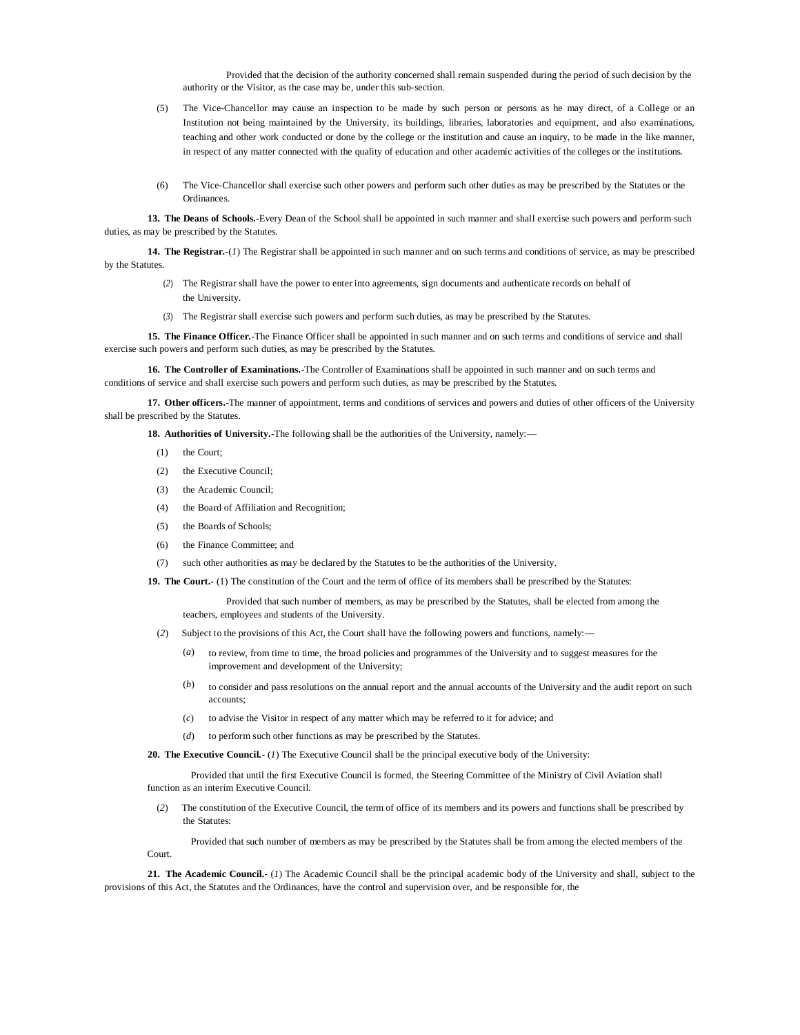Provided that the decision of the authority concerned shall remain suspended during the period of such decision by the authority or the Visitor, as the case may be, under this sub-section.

- (5) The Vice-Chancellor may cause an inspection to be made by such person or persons as he may direct, of a College or an Institution not being maintained by the University, its buildings, libraries, laboratories and equipment, and also examinations, teaching and other work conducted or done by the college or the institution and cause an inquiry, to be made in the like manner, in respect of any matter connected with the quality of education and other academic activities of the colleges or the institutions.
- The Vice-Chancellor shall exercise such other powers and perform such other duties as may be prescribed by the Statutes or the **Ordinances**

**13. The Deans of Schools.-**Every Dean of the School shall be appointed in such manner and shall exercise such powers and perform such duties, as may be prescribed by the Statutes.

**14. The Registrar.-**(*1*) The Registrar shall be appointed in such manner and on such terms and conditions of service, as may be prescribed by the Statutes.

- (*2*) The Registrar shall have the power to enter into agreements, sign documents and authenticate records on behalf of the University.
- (*3*) The Registrar shall exercise such powers and perform such duties, as may be prescribed by the Statutes.

**15. The Finance Officer.-**The Finance Officer shall be appointed in such manner and on such terms and conditions of service and shall exercise such powers and perform such duties, as may be prescribed by the Statutes.

**16. The Controller of Examinations.-**The Controller of Examinations shall be appointed in such manner and on such terms and conditions of service and shall exercise such powers and perform such duties, as may be prescribed by the Statutes.

**17. Other officers.-**The manner of appointment, terms and conditions of services and powers and duties of other officers of the University shall be prescribed by the Statutes.

**18. Authorities of University.-**The following shall be the authorities of the University, namely:—

- (1) the Court;
- (2) the Executive Council;
- (3) the Academic Council;
- (4) the Board of Affiliation and Recognition;
- (5) the Boards of Schools;
- (6) the Finance Committee; and
- (7) such other authorities as may be declared by the Statutes to be the authorities of the University.

**19. The Court.-** (1) The constitution of the Court and the term of office of its members shall be prescribed by the Statutes:

Provided that such number of members, as may be prescribed by the Statutes, shall be elected from among the teachers, employees and students of the University.

- (*2*) Subject to the provisions of this Act, the Court shall have the following powers and functions, namely:—
	- (*a*) to review, from time to time, the broad policies and programmes of the University and to suggest measures for the improvement and development of the University;
	- (*b*) to consider and pass resolutions on the annual report and the annual accounts of the University and the audit report on such accounts;
	- (*c*) to advise the Visitor in respect of any matter which may be referred to it for advice; and
	- (*d*) to perform such other functions as may be prescribed by the Statutes.

**20. The Executive Council.-** (*1*) The Executive Council shall be the principal executive body of the University:

Provided that until the first Executive Council is formed, the Steering Committee of the Ministry of Civil Aviation shall function as an interim Executive Council.

(*2*) The constitution of the Executive Council, the term of office of its members and its powers and functions shall be prescribed by the Statutes

Provided that such number of members as may be prescribed by the Statutes shall be from among the elected members of the Court.

**21. The Academic Council.-** (*1*) The Academic Council shall be the principal academic body of the University and shall, subject to the provisions of this Act, the Statutes and the Ordinances, have the control and supervision over, and be responsible for, the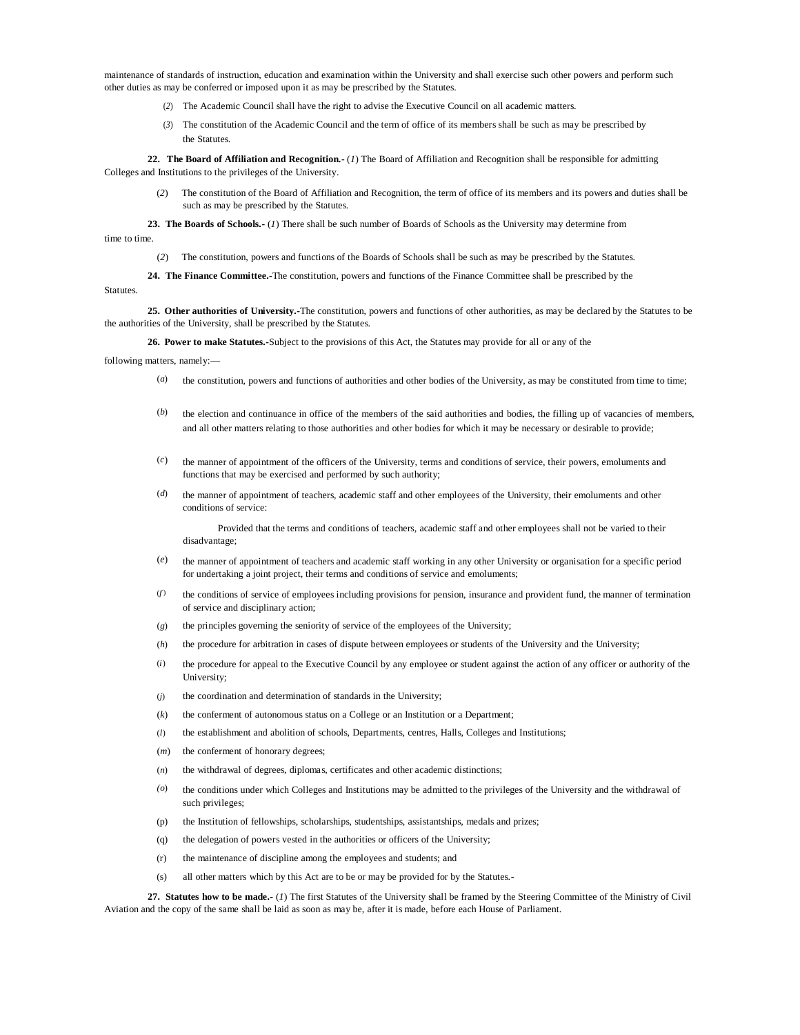maintenance of standards of instruction, education and examination within the University and shall exercise such other powers and perform such other duties as may be conferred or imposed upon it as may be prescribed by the Statutes.

- (*2*) The Academic Council shall have the right to advise the Executive Council on all academic matters.
- (*3*) The constitution of the Academic Council and the term of office of its members shall be such as may be prescribed by the Statutes.

**22. The Board of Affiliation and Recognition.-** (*1*) The Board of Affiliation and Recognition shall be responsible for admitting Colleges and Institutions to the privileges of the University.

The constitution of the Board of Affiliation and Recognition, the term of office of its members and its powers and duties shall be such as may be prescribed by the Statutes.

**23. The Boards of Schools.-** (*1*) There shall be such number of Boards of Schools as the University may determine from time to time.

(*2*) The constitution, powers and functions of the Boards of Schools shall be such as may be prescribed by the Statutes.

**24. The Finance Committee.-**The constitution, powers and functions of the Finance Committee shall be prescribed by the

### Statutes.

**25. Other authorities of University.-**The constitution, powers and functions of other authorities, as may be declared by the Statutes to be the authorities of the University, shall be prescribed by the Statutes.

**26. Power to make Statutes.-**Subject to the provisions of this Act, the Statutes may provide for all or any of the

following matters, namely:—

- (*a*) the constitution, powers and functions of authorities and other bodies of the University, as may be constituted from time to time;
- (b) the election and continuance in office of the members of the said authorities and bodies, the filling up of vacancies of members, and all other matters relating to those authorities and other bodies for which it may be necessary or desirable to provide;
- (*c*) the manner of appointment of the officers of the University, terms and conditions of service, their powers, emoluments and functions that may be exercised and performed by such authority;
- (*d*) the manner of appointment of teachers, academic staff and other employees of the University, their emoluments and other conditions of service:

Provided that the terms and conditions of teachers, academic staff and other employees shall not be varied to their disadvantage;

- (*e*) the manner of appointment of teachers and academic staff working in any other University or organisation for a specific period for undertaking a joint project, their terms and conditions of service and emoluments;
- (*f* ) the conditions of service of employees including provisions for pension, insurance and provident fund, the manner of termination of service and disciplinary action;
- (*g*) the principles governing the seniority of service of the employees of the University;
- (*h*) the procedure for arbitration in cases of dispute between employees or students of the University and the University;
- (*i*) the procedure for appeal to the Executive Council by any employee or student against the action of any officer or authority of the University;
- (*j*) the coordination and determination of standards in the University;
- $(k)$  the conferment of autonomous status on a College or an Institution or a Department;
- (*l*) the establishment and abolition of schools, Departments, centres, Halls, Colleges and Institutions;
- (*m*) the conferment of honorary degrees;
- (*n*) the withdrawal of degrees, diplomas, certificates and other academic distinctions;
- *(o*) the conditions under which Colleges and Institutions may be admitted to the privileges of the University and the withdrawal of such privileges;
- (p) the Institution of fellowships, scholarships, studentships, assistantships, medals and prizes;
- (q) the delegation of powers vested in the authorities or officers of the University;
- (r) the maintenance of discipline among the employees and students; and
- (s) all other matters which by this Act are to be or may be provided for by the Statutes.-

**27. Statutes how to be made.-** (*1*) The first Statutes of the University shall be framed by the Steering Committee of the Ministry of Civil Aviation and the copy of the same shall be laid as soon as may be, after it is made, before each House of Parliament.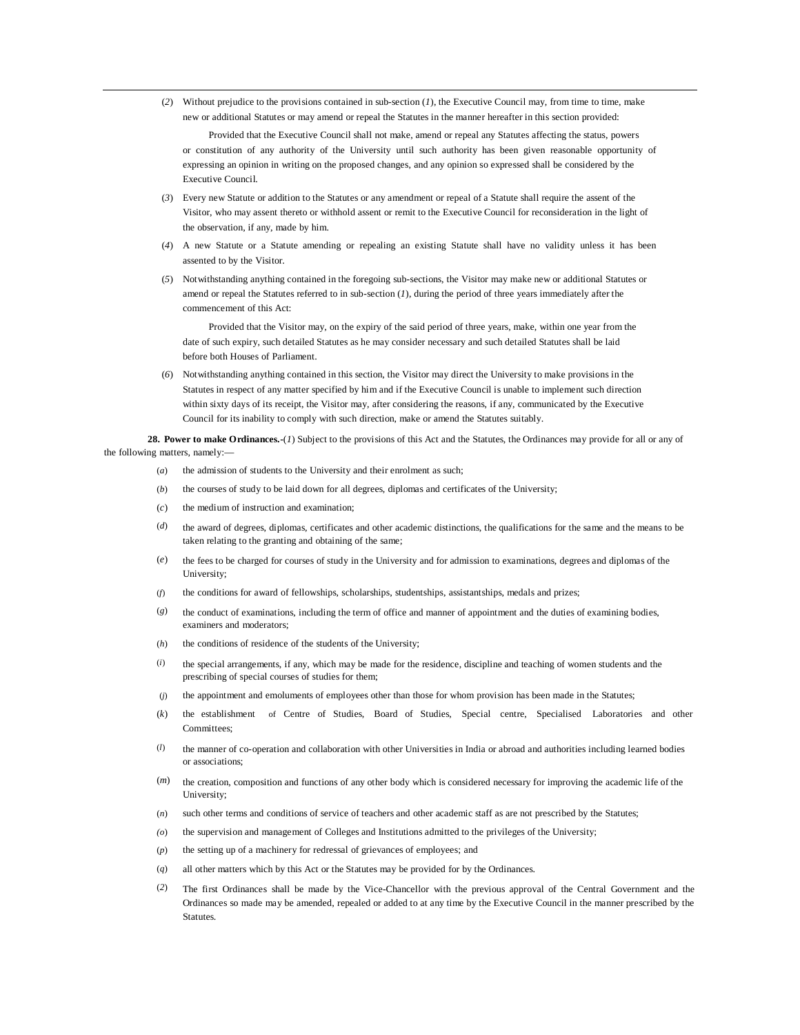(*2*) Without prejudice to the provisions contained in sub-section (*1*), the Executive Council may, from time to time, make new or additional Statutes or may amend or repeal the Statutes in the manner hereafter in this section provided:

Provided that the Executive Council shall not make, amend or repeal any Statutes affecting the status, powers or constitution of any authority of the University until such authority has been given reasonable opportunity of expressing an opinion in writing on the proposed changes, and any opinion so expressed shall be considered by the Executive Council.

- (*3*) Every new Statute or addition to the Statutes or any amendment or repeal of a Statute shall require the assent of the Visitor, who may assent thereto or withhold assent or remit to the Executive Council for reconsideration in the light of the observation, if any, made by him.
- (*4*) A new Statute or a Statute amending or repealing an existing Statute shall have no validity unless it has been assented to by the Visitor.
- (*5*) Notwithstanding anything contained in the foregoing sub-sections, the Visitor may make new or additional Statutes or amend or repeal the Statutes referred to in sub-section (*1*), during the period of three years immediately after the commencement of this Act:

Provided that the Visitor may, on the expiry of the said period of three years, make, within one year from the date of such expiry, such detailed Statutes as he may consider necessary and such detailed Statutes shall be laid before both Houses of Parliament.

(*6*) Notwithstanding anything contained in this section, the Visitor may direct the University to make provisions in the Statutes in respect of any matter specified by him and if the Executive Council is unable to implement such direction within sixty days of its receipt, the Visitor may, after considering the reasons, if any, communicated by the Executive Council for its inability to comply with such direction, make or amend the Statutes suitably.

**28. Power to make Ordinances.-**(*1*) Subject to the provisions of this Act and the Statutes, the Ordinances may provide for all or any of the following matters, namely:—

- (*a*) the admission of students to the University and their enrolment as such;
- (*b*) the courses of study to be laid down for all degrees, diplomas and certificates of the University;
- (*c*) the medium of instruction and examination;
- (*d*) the award of degrees, diplomas, certificates and other academic distinctions, the qualifications for the same and the means to be taken relating to the granting and obtaining of the same;
- (*e*) the fees to be charged for courses of study in the University and for admission to examinations, degrees and diplomas of the University;
- (*f*) the conditions for award of fellowships, scholarships, studentships, assistantships, medals and prizes;
- (*g*) the conduct of examinations, including the term of office and manner of appointment and the duties of examining bodies, examiners and moderators;
- (*h*) the conditions of residence of the students of the University;
- (*i*) the special arrangements, if any, which may be made for the residence, discipline and teaching of women students and the prescribing of special courses of studies for them;
- (*j*) the appointment and emoluments of employees other than those for whom provision has been made in the Statutes;
- (*k*) the establishment of Centre of Studies, Board of Studies, Special centre, Specialised Laboratories and other Committees;
- (*l*) the manner of co-operation and collaboration with other Universities in India or abroad and authorities including learned bodies or associations;
- (*m*) the creation, composition and functions of any other body which is considered necessary for improving the academic life of the University;
- (*n*) such other terms and conditions of service of teachers and other academic staff as are not prescribed by the Statutes;
- *(o*) the supervision and management of Colleges and Institutions admitted to the privileges of the University;
- (*p*) the setting up of a machinery for redressal of grievances of employees; and
- (*q*) all other matters which by this Act or the Statutes may be provided for by the Ordinances.
- (*2*) The first Ordinances shall be made by the Vice-Chancellor with the previous approval of the Central Government and the Ordinances so made may be amended, repealed or added to at any time by the Executive Council in the manner prescribed by the **Statutes**.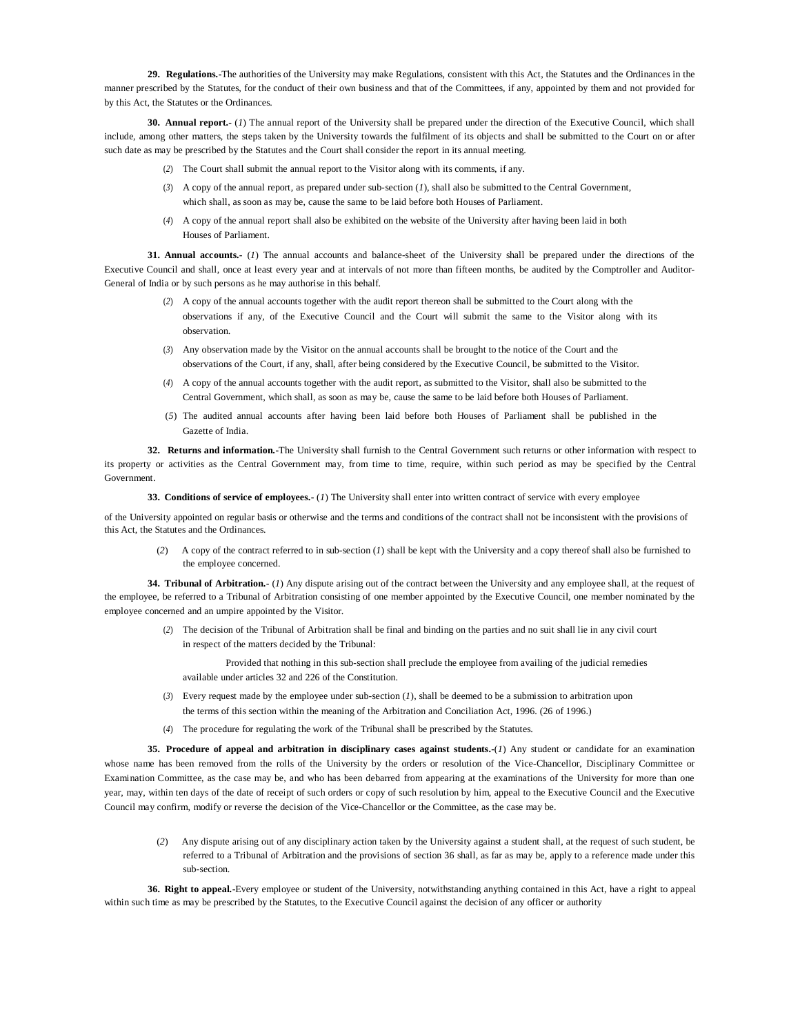**29. Regulations.-**The authorities of the University may make Regulations, consistent with this Act, the Statutes and the Ordinances in the manner prescribed by the Statutes, for the conduct of their own business and that of the Committees, if any, appointed by them and not provided for by this Act, the Statutes or the Ordinances.

**30. Annual report.-** (*1*) The annual report of the University shall be prepared under the direction of the Executive Council, which shall include, among other matters, the steps taken by the University towards the fulfilment of its objects and shall be submitted to the Court on or after such date as may be prescribed by the Statutes and the Court shall consider the report in its annual meeting.

- (*2*) The Court shall submit the annual report to the Visitor along with its comments, if any.
- (*3*) A copy of the annual report, as prepared under sub-section (*1*), shall also be submitted to the Central Government, which shall, as soon as may be, cause the same to be laid before both Houses of Parliament.
- (*4*) A copy of the annual report shall also be exhibited on the website of the University after having been laid in both Houses of Parliament.

**31. Annual accounts.-** (*1*) The annual accounts and balance-sheet of the University shall be prepared under the directions of the Executive Council and shall, once at least every year and at intervals of not more than fifteen months, be audited by the Comptroller and Auditor-General of India or by such persons as he may authorise in this behalf.

- (*2*) A copy of the annual accounts together with the audit report thereon shall be submitted to the Court along with the observations if any, of the Executive Council and the Court will submit the same to the Visitor along with its observation.
- (*3*) Any observation made by the Visitor on the annual accounts shall be brought to the notice of the Court and the observations of the Court, if any, shall, after being considered by the Executive Council, be submitted to the Visitor.
- (*4*) A copy of the annual accounts together with the audit report, as submitted to the Visitor, shall also be submitted to the Central Government, which shall, as soon as may be, cause the same to be laid before both Houses of Parliament.
- (*5*) The audited annual accounts after having been laid before both Houses of Parliament shall be published in the Gazette of India.

**32. Returns and information.-**The University shall furnish to the Central Government such returns or other information with respect to its property or activities as the Central Government may, from time to time, require, within such period as may be specified by the Central Government.

**33. Conditions of service of employees.-** (*1*) The University shall enter into written contract of service with every employee

of the University appointed on regular basis or otherwise and the terms and conditions of the contract shall not be inconsistent with the provisions of this Act, the Statutes and the Ordinances.

(*2*) A copy of the contract referred to in sub-section (*1*) shall be kept with the University and a copy thereof shall also be furnished to the employee concerned.

**34. Tribunal of Arbitration.-** (*1*) Any dispute arising out of the contract between the University and any employee shall, at the request of the employee, be referred to a Tribunal of Arbitration consisting of one member appointed by the Executive Council, one member nominated by the employee concerned and an umpire appointed by the Visitor.

(*2*) The decision of the Tribunal of Arbitration shall be final and binding on the parties and no suit shall lie in any civil court in respect of the matters decided by the Tribunal:

Provided that nothing in this sub-section shall preclude the employee from availing of the judicial remedies available under articles 32 and 226 of the Constitution.

- (*3*) Every request made by the employee under sub-section (*1*), shall be deemed to be a submission to arbitration upon the terms of this section within the meaning of the Arbitration and Conciliation Act, 1996. (26 of 1996.)
- (*4*) The procedure for regulating the work of the Tribunal shall be prescribed by the Statutes.

**35. Procedure of appeal and arbitration in disciplinary cases against students.-**(*1*) Any student or candidate for an examination whose name has been removed from the rolls of the University by the orders or resolution of the Vice-Chancellor, Disciplinary Committee or Examination Committee, as the case may be, and who has been debarred from appearing at the examinations of the University for more than one year, may, within ten days of the date of receipt of such orders or copy of such resolution by him, appeal to the Executive Council and the Executive Council may confirm, modify or reverse the decision of the Vice-Chancellor or the Committee, as the case may be.

(*2*) Any dispute arising out of any disciplinary action taken by the University against a student shall, at the request of such student, be referred to a Tribunal of Arbitration and the provisions of section 36 shall, as far as may be, apply to a reference made under this sub-section.

**36. Right to appeal.-**Every employee or student of the University, notwithstanding anything contained in this Act, have a right to appeal within such time as may be prescribed by the Statutes, to the Executive Council against the decision of any officer or authority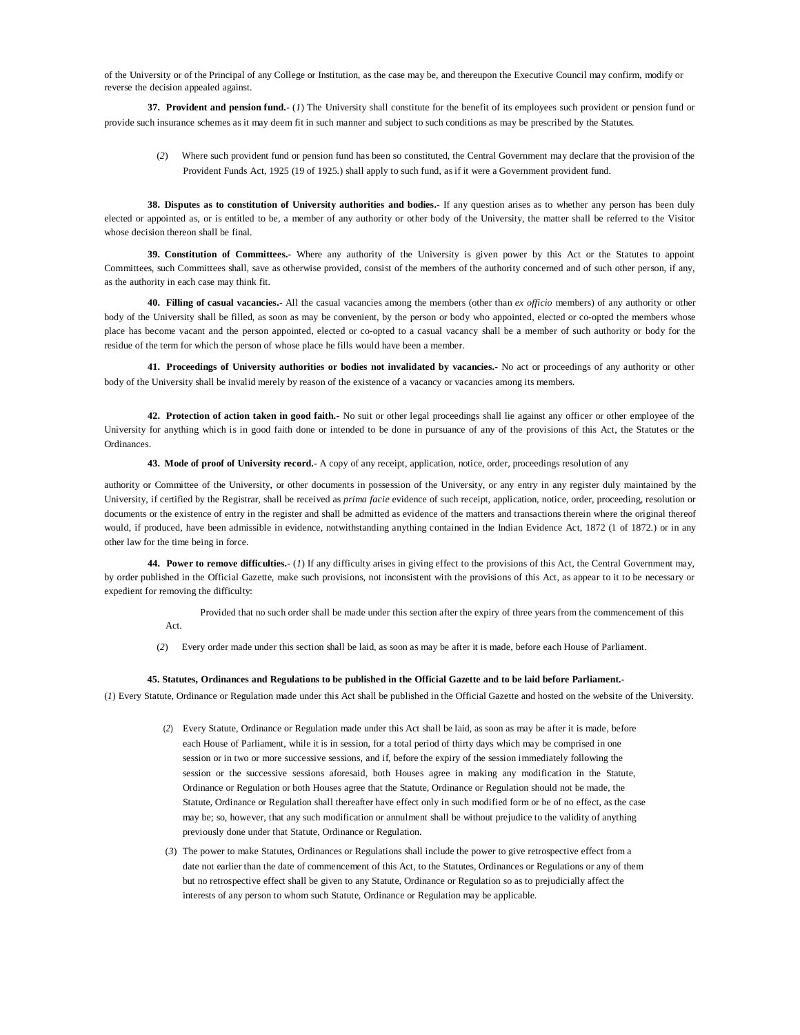of the University or of the Principal of any College or Institution, as the case may be, and thereupon the Executive Council may confirm, modify or reverse the decision appealed against.

**37. Provident and pension fund.-** (*1*) The University shall constitute for the benefit of its employees such provident or pension fund or provide such insurance schemes as it may deem fit in such manner and subject to such conditions as may be prescribed by the Statutes.

(*2*) Where such provident fund or pension fund has been so constituted, the Central Government may declare that the provision of the Provident Funds Act, 1925 (19 of 1925.) shall apply to such fund, as if it were a Government provident fund.

**38. Disputes as to constitution of University authorities and bodies.-** If any question arises as to whether any person has been duly elected or appointed as, or is entitled to be, a member of any authority or other body of the University, the matter shall be referred to the Visitor whose decision thereon shall be final.

**39. Constitution of Committees.-** Where any authority of the University is given power by this Act or the Statutes to appoint Committees, such Committees shall, save as otherwise provided, consist of the members of the authority concerned and of such other person, if any, as the authority in each case may think fit.

**40. Filling of casual vacancies.-** All the casual vacancies among the members (other than *ex officio* members) of any authority or other body of the University shall be filled, as soon as may be convenient, by the person or body who appointed, elected or co-opted the members whose place has become vacant and the person appointed, elected or co-opted to a casual vacancy shall be a member of such authority or body for the residue of the term for which the person of whose place he fills would have been a member.

**41. Proceedings of University authorities or bodies not invalidated by vacancies.-** No act or proceedings of any authority or other body of the University shall be invalid merely by reason of the existence of a vacancy or vacancies among its members.

**42. Protection of action taken in good faith.-** No suit or other legal proceedings shall lie against any officer or other employee of the University for anything which is in good faith done or intended to be done in pursuance of any of the provisions of this Act, the Statutes or the Ordinances.

**43. Mode of proof of University record.-** A copy of any receipt, application, notice, order, proceedings resolution of any

authority or Committee of the University, or other documents in possession of the University, or any entry in any register duly maintained by the University, if certified by the Registrar, shall be received as *prima facie* evidence of such receipt, application, notice, order, proceeding, resolution or documents or the existence of entry in the register and shall be admitted as evidence of the matters and transactions therein where the original thereof would, if produced, have been admissible in evidence, notwithstanding anything contained in the Indian Evidence Act, 1872 (1 of 1872.) or in any other law for the time being in force.

**44. Power to remove difficulties.-** (*1*) If any difficulty arises in giving effect to the provisions of this Act, the Central Government may, by order published in the Official Gazette, make such provisions, not inconsistent with the provisions of this Act, as appear to it to be necessary or expedient for removing the difficulty:

> Provided that no such order shall be made under this section after the expiry of three years from the commencement of this Act.

(*2*) Every order made under this section shall be laid, as soon as may be after it is made, before each House of Parliament.

### **45. Statutes, Ordinances and Regulations to be published in the Official Gazette and to be laid before Parliament.-**

(*1*) Every Statute, Ordinance or Regulation made under this Act shall be published in the Official Gazette and hosted on the website of the University.

- (*2*) Every Statute, Ordinance or Regulation made under this Act shall be laid, as soon as may be after it is made, before each House of Parliament, while it is in session, for a total period of thirty days which may be comprised in one session or in two or more successive sessions, and if, before the expiry of the session immediately following the session or the successive sessions aforesaid, both Houses agree in making any modification in the Statute, Ordinance or Regulation or both Houses agree that the Statute, Ordinance or Regulation should not be made, the Statute, Ordinance or Regulation shall thereafter have effect only in such modified form or be of no effect, as the case may be; so, however, that any such modification or annulment shall be without prejudice to the validity of anything previously done under that Statute, Ordinance or Regulation.
- (*3*) The power to make Statutes, Ordinances or Regulations shall include the power to give retrospective effect from a date not earlier than the date of commencement of this Act, to the Statutes, Ordinances or Regulations or any of them but no retrospective effect shall be given to any Statute, Ordinance or Regulation so as to prejudicially affect the interests of any person to whom such Statute, Ordinance or Regulation may be applicable.